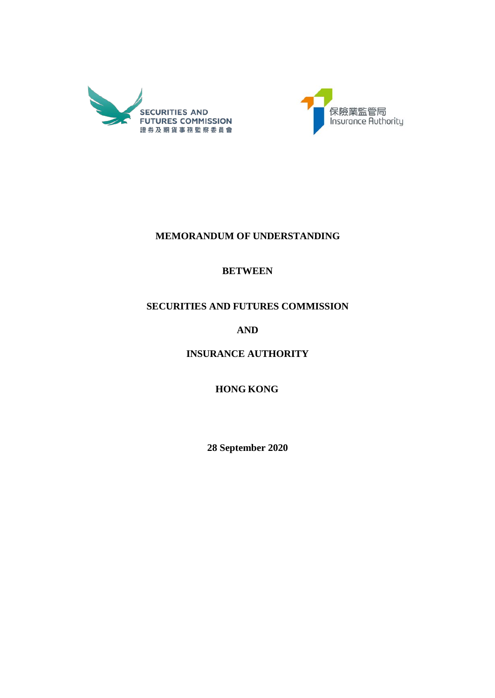



# **MEMORANDUM OF UNDERSTANDING**

# **BETWEEN**

# **SECURITIES AND FUTURES COMMISSION**

# **AND**

**INSURANCE AUTHORITY**

**HONG KONG**

**28 September 2020**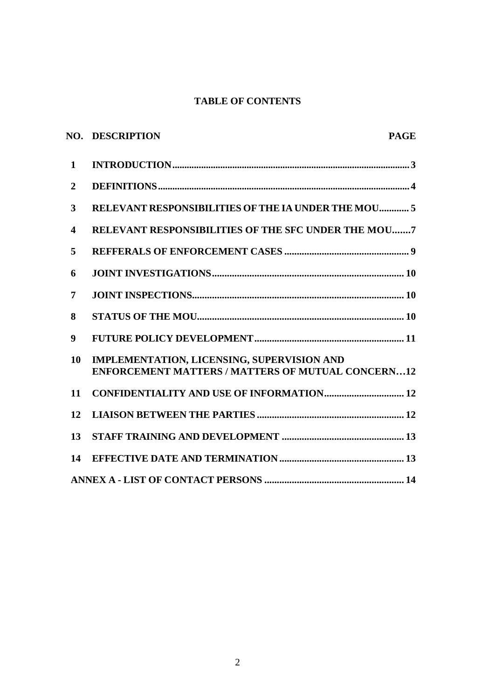## **TABLE OF CONTENTS**

|                         | <b>NO. DESCRIPTION</b><br><b>PAGE</b>                                                                  |  |
|-------------------------|--------------------------------------------------------------------------------------------------------|--|
| $\mathbf{1}$            |                                                                                                        |  |
| $\overline{2}$          |                                                                                                        |  |
| 3                       | RELEVANT RESPONSIBILITIES OF THE IA UNDER THE MOU 5                                                    |  |
| $\overline{\mathbf{4}}$ | <b>RELEVANT RESPONSIBILITIES OF THE SFC UNDER THE MOU7</b>                                             |  |
| 5                       |                                                                                                        |  |
| 6                       |                                                                                                        |  |
| 7                       |                                                                                                        |  |
| 8                       |                                                                                                        |  |
| 9                       |                                                                                                        |  |
| 10                      | IMPLEMENTATION, LICENSING, SUPERVISION AND<br><b>ENFORCEMENT MATTERS / MATTERS OF MUTUAL CONCERN12</b> |  |
| 11                      |                                                                                                        |  |
| 12                      |                                                                                                        |  |
| 13                      |                                                                                                        |  |
| 14                      |                                                                                                        |  |
|                         |                                                                                                        |  |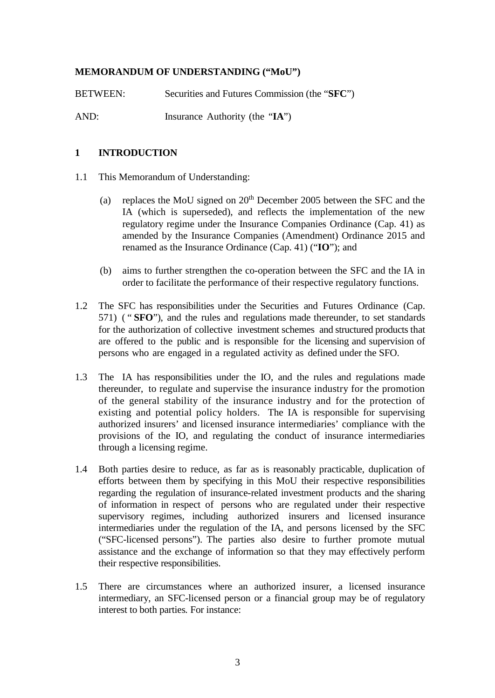## **MEMORANDUM OF UNDERSTANDING ("MoU")**

BETWEEN: Securities and Futures Commission (the "**SFC**") AND: Insurance Authority (the "**IA**")

### **1 INTRODUCTION**

- 1.1 This Memorandum of Understanding:
	- (a) replaces the MoU signed on  $20<sup>th</sup>$  December 2005 between the SFC and the IA (which is superseded), and reflects the implementation of the new regulatory regime under the Insurance Companies Ordinance (Cap. 41) as amended by the Insurance Companies (Amendment) Ordinance 2015 and renamed as the Insurance Ordinance (Cap. 41) ("**IO**"); and
	- (b) aims to further strengthen the co-operation between the SFC and the IA in order to facilitate the performance of their respective regulatory functions.
- 1.2 The SFC has responsibilities under the Securities and Futures Ordinance (Cap. 571) ( " **SFO**"), and the rules and regulations made thereunder, to set standards for the authorization of collective investment schemes and structured products that are offered to the public and is responsible for the licensing and supervision of persons who are engaged in a regulated activity as defined under the SFO.
- 1.3 The IA has responsibilities under the IO, and the rules and regulations made thereunder, to regulate and supervise the insurance industry for the promotion of the general stability of the insurance industry and for the protection of existing and potential policy holders. The IA is responsible for supervising authorized insurers' and licensed insurance intermediaries' compliance with the provisions of the IO, and regulating the conduct of insurance intermediaries through a licensing regime.
- 1.4 Both parties desire to reduce, as far as is reasonably practicable, duplication of efforts between them by specifying in this MoU their respective responsibilities regarding the regulation of insurance-related investment products and the sharing of information in respect of persons who are regulated under their respective supervisory regimes, including authorized insurers and licensed insurance intermediaries under the regulation of the IA, and persons licensed by the SFC ("SFC-licensed persons"). The parties also desire to further promote mutual assistance and the exchange of information so that they may effectively perform their respective responsibilities.
- 1.5 There are circumstances where an authorized insurer, a licensed insurance intermediary, an SFC-licensed person or a financial group may be of regulatory interest to both parties*.* For instance: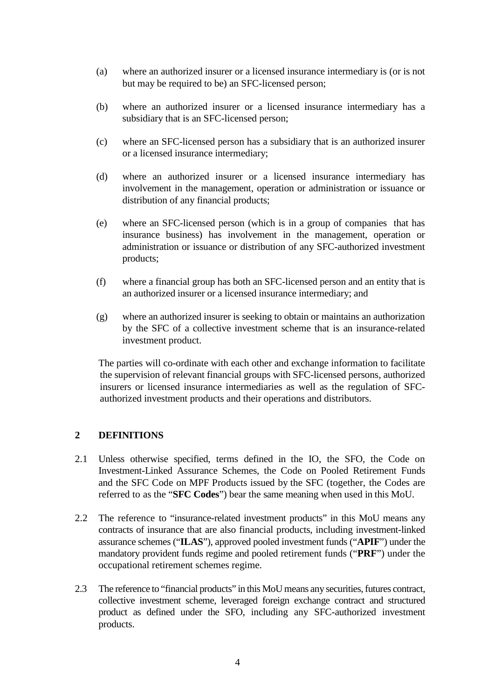- (a) where an authorized insurer or a licensed insurance intermediary is (or is not but may be required to be) an SFC-licensed person;
- (b) where an authorized insurer or a licensed insurance intermediary has a subsidiary that is an SFC-licensed person;
- (c) where an SFC-licensed person has a subsidiary that is an authorized insurer or a licensed insurance intermediary;
- (d) where an authorized insurer or a licensed insurance intermediary has involvement in the management, operation or administration or issuance or distribution of any financial products;
- (e) where an SFC-licensed person (which is in a group of companies that has insurance business) has involvement in the management, operation or administration or issuance or distribution of any SFC-authorized investment products;
- (f) where a financial group has both an SFC-licensed person and an entity that is an authorized insurer or a licensed insurance intermediary; and
- (g) where an authorized insurer is seeking to obtain or maintains an authorization by the SFC of a collective investment scheme that is an insurance-related investment product.

The parties will co-ordinate with each other and exchange information to facilitate the supervision of relevant financial groups with SFC-licensed persons, authorized insurers or licensed insurance intermediaries as well as the regulation of SFCauthorized investment products and their operations and distributors.

#### **2 DEFINITIONS**

- 2.1 Unless otherwise specified, terms defined in the IO, the SFO, the Code on Investment-Linked Assurance Schemes, the Code on Pooled Retirement Funds and the SFC Code on MPF Products issued by the SFC (together, the Codes are referred to as the "**SFC Codes**") bear the same meaning when used in this MoU.
- 2.2 The reference to "insurance-related investment products" in this MoU means any contracts of insurance that are also financial products, including investment-linked assurance schemes ("**ILAS**"), approved pooled investment funds ("**APIF**") under the mandatory provident funds regime and pooled retirement funds ("**PRF**") under the occupational retirement schemes regime.
- 2.3 The reference to "financial products" in this MoUmeans any securities, futures contract, collective investment scheme, leveraged foreign exchange contract and structured product as defined under the SFO, including any SFC-authorized investment products.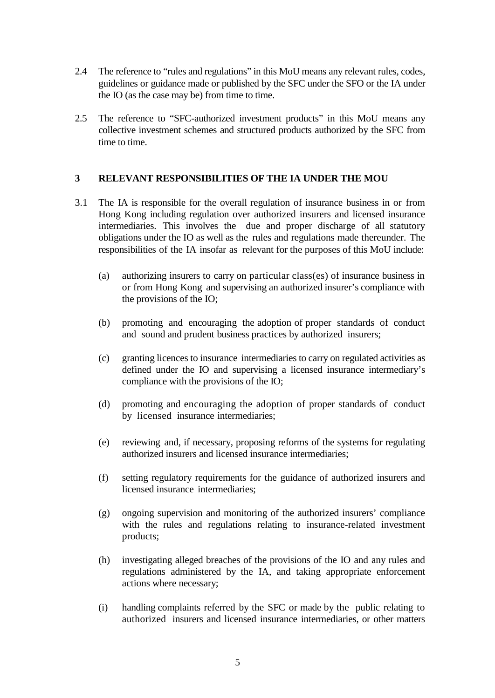- 2.4 The reference to "rules and regulations" in this MoU means any relevant rules, codes, guidelines or guidance made or published by the SFC under the SFO or the IA under the IO (as the case may be) from time to time.
- 2.5 The reference to "SFC-authorized investment products" in this MoU means any collective investment schemes and structured products authorized by the SFC from time to time.

#### **3 RELEVANT RESPONSIBILITIES OF THE IA UNDER THE MOU**

- 3.1 The IA is responsible for the overall regulation of insurance business in or from Hong Kong including regulation over authorized insurers and licensed insurance intermediaries. This involves the due and proper discharge of all statutory obligations under the IO as well as the rules and regulations made thereunder. The responsibilities of the IA insofar as relevant for the purposes of this MoU include:
	- (a) authorizing insurers to carry on particular class(es) of insurance business in or from Hong Kong and supervising an authorized insurer's compliance with the provisions of the IO;
	- (b) promoting and encouraging the adoption of proper standards of conduct and sound and prudent business practices by authorized insurers;
	- (c) granting licences to insurance intermediaries to carry on regulated activities as defined under the IO and supervising a licensed insurance intermediary's compliance with the provisions of the IO;
	- (d) promoting and encouraging the adoption of proper standards of conduct by licensed insurance intermediaries;
	- (e) reviewing and, if necessary, proposing reforms of the systems for regulating authorized insurers and licensed insurance intermediaries;
	- (f) setting regulatory requirements for the guidance of authorized insurers and licensed insurance intermediaries;
	- (g) ongoing supervision and monitoring of the authorized insurers' compliance with the rules and regulations relating to insurance-related investment products;
	- (h) investigating alleged breaches of the provisions of the IO and any rules and regulations administered by the IA, and taking appropriate enforcement actions where necessary;
	- (i) handling complaints referred by the SFC or made by the public relating to authorized insurers and licensed insurance intermediaries, or other matters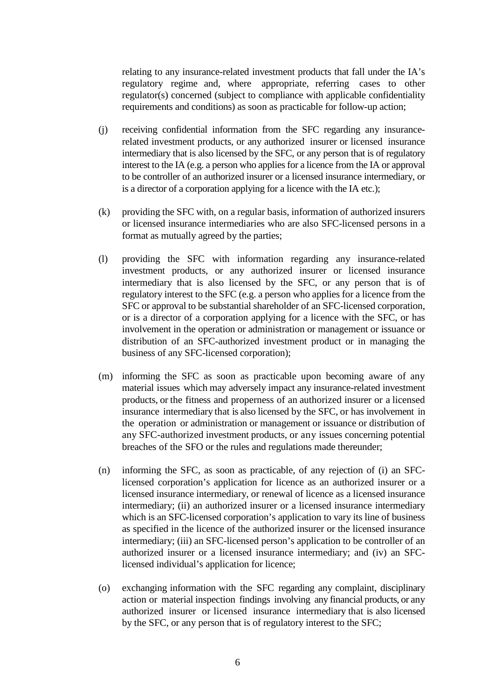relating to any insurance-related investment products that fall under the IA's regulatory regime and, where appropriate, referring cases to other regulator(s) concerned (subject to compliance with applicable confidentiality requirements and conditions) as soon as practicable for follow-up action;

- (j) receiving confidential information from the SFC regarding any insurancerelated investment products, or any authorized insurer or licensed insurance intermediary that is also licensed by the SFC, or any person that is of regulatory interest to the IA (e.g. a person who applies for a licence from the IA or approval to be controller of an authorized insurer or a licensed insurance intermediary, or is a director of a corporation applying for a licence with the IA etc.);
- (k) providing the SFC with, on a regular basis, information of authorized insurers or licensed insurance intermediaries who are also SFC-licensed persons in a format as mutually agreed by the parties;
- (l) providing the SFC with information regarding any insurance-related investment products, or any authorized insurer or licensed insurance intermediary that is also licensed by the SFC, or any person that is of regulatory interest to the SFC (e.g. a person who applies for a licence from the SFC or approval to be substantial shareholder of an SFC-licensed corporation, or is a director of a corporation applying for a licence with the SFC, or has involvement in the operation or administration or management or issuance or distribution of an SFC-authorized investment product or in managing the business of any SFC-licensed corporation);
- (m) informing the SFC as soon as practicable upon becoming aware of any material issues which may adversely impact any insurance-related investment products, or the fitness and properness of an authorized insurer or a licensed insurance intermediary that is also licensed by the SFC*,* or has involvement in the operation or administration or management or issuance or distribution of any SFC-authorized investment products, or any issues concerning potential breaches of the SFO or the rules and regulations made thereunder;
- (n) informing the SFC, as soon as practicable, of any rejection of (i) an SFClicensed corporation's application for licence as an authorized insurer or a licensed insurance intermediary, or renewal of licence as a licensed insurance intermediary; (ii) an authorized insurer or a licensed insurance intermediary which is an SFC-licensed corporation's application to vary its line of business as specified in the licence of the authorized insurer or the licensed insurance intermediary; (iii) an SFC-licensed person's application to be controller of an authorized insurer or a licensed insurance intermediary; and (iv) an SFClicensed individual's application for licence;
- (o) exchanging information with the SFC regarding any complaint, disciplinary action or material inspection findings involving any financial products, or any authorized insurer or licensed insurance intermediary that is also licensed by the SFC, or any person that is of regulatory interest to the SFC;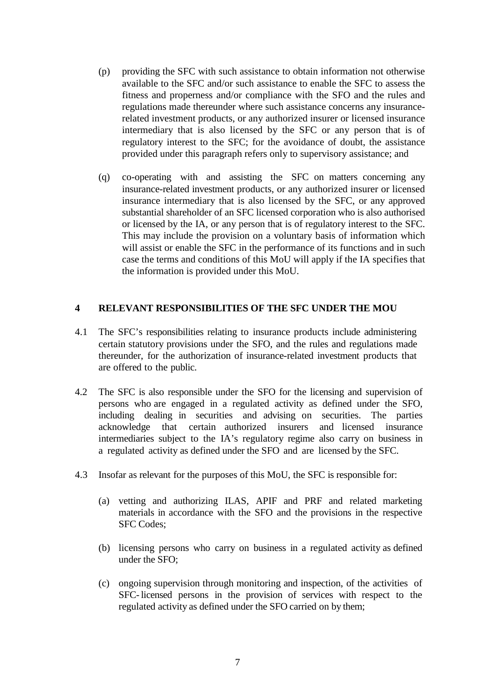- (p) providing the SFC with such assistance to obtain information not otherwise available to the SFC and/or such assistance to enable the SFC to assess the fitness and properness and/or compliance with the SFO and the rules and regulations made thereunder where such assistance concerns any insurancerelated investment products, or any authorized insurer or licensed insurance intermediary that is also licensed by the SFC or any person that is of regulatory interest to the SFC; for the avoidance of doubt, the assistance provided under this paragraph refers only to supervisory assistance; and
- (q) co-operating with and assisting the SFC on matters concerning any insurance-related investment products, or any authorized insurer or licensed insurance intermediary that is also licensed by the SFC, or any approved substantial shareholder of an SFC licensed corporation who is also authorised or licensed by the IA, or any person that is of regulatory interest to the SFC. This may include the provision on a voluntary basis of information which will assist or enable the SFC in the performance of its functions and in such case the terms and conditions of this MoU will apply if the IA specifies that the information is provided under this MoU.

#### **4 RELEVANT RESPONSIBILITIES OF THE SFC UNDER THE MOU**

- 4.1 The SFC's responsibilities relating to insurance products include administering certain statutory provisions under the SFO, and the rules and regulations made thereunder, for the authorization of insurance-related investment products that are offered to the public.
- 4.2 The SFC is also responsible under the SFO for the licensing and supervision of persons who are engaged in a regulated activity as defined under the SFO, including dealing in securities and advising on securities. The parties acknowledge that certain authorized insurers and licensed insurance intermediaries subject to the IA's regulatory regime also carry on business in a regulated activity as defined under the SFO and are licensed by the SFC.
- 4.3 Insofar as relevant for the purposes of this MoU, the SFC is responsible for:
	- (a) vetting and authorizing ILAS, APIF and PRF and related marketing materials in accordance with the SFO and the provisions in the respective SFC Codes;
	- (b) licensing persons who carry on business in a regulated activity as defined under the SFO;
	- (c) ongoing supervision through monitoring and inspection, of the activities of SFC-licensed persons in the provision of services with respect to the regulated activity as defined under the SFO carried on by them;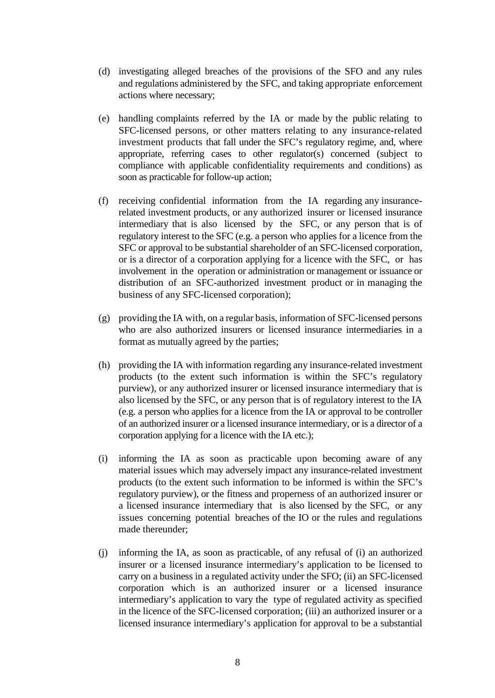- (d) investigating alleged breaches of the provisions of the SFO and any rules and regulations administered by the SFC, and taking appropriate enforcement actions where necessary;
- (e) handling complaints referred by the IA or made by the public relating to SFC-licensed persons, or other matters relating to any insurance-related investment products that fall under the SFC's regulatory regime, and, where appropriate, referring cases to other regulator(s) concerned (subject to compliance with applicable confidentiality requirements and conditions) as soon as practicable for follow-up action;
- (f) receiving confidential information from the IA regarding any insurancerelated investment products, or any authorized insurer or licensed insurance intermediary that is also licensed by the SFC, or any person that is of regulatory interest to the SFC (e.g. a person who applies for a licence from the SFC or approval to be substantial shareholder of an SFC-licensed corporation, or is a director of a corporation applying for a licence with the SFC, or has involvement in the operation or administration or management or issuance or distribution of an SFC-authorized investment product or in managing the business of any SFC-licensed corporation);
- $(g)$  providing the IA with, on a regular basis, information of SFC-licensed persons who are also authorized insurers or licensed insurance intermediaries in a format as mutually agreed by the parties;
- (h) providing the IA with information regarding any insurance-related investment products (to the extent such information is within the SFC's regulatory purview), or any authorized insurer or licensed insurance intermediary that is also licensed by the SFC, or any person that is of regulatory interest to the IA (e.g. a person who applies for a licence from the IA or approval to be controller of an authorized insurer or a licensed insurance intermediary, or is a director of a corporation applying for a licence with the IA etc.);
- (i) informing the IA as soon as practicable upon becoming aware of any material issues which may adversely impact any insurance-related investment products (to the extent such information to be informed is within the SFC's regulatory purview), or the fitness and properness of an authorized insurer or a licensed insurance intermediary that is also licensed by the SFC, or any issues concerning potential breaches of the IO or the rules and regulations made thereunder;
- (j) informing the IA, as soon as practicable, of any refusal of (i) an authorized insurer or a licensed insurance intermediary's application to be licensed to carry on a business in a regulated activity under the SFO; (ii) an SFC-licensed corporation which is an authorized insurer or a licensed insurance intermediary's application to vary the type of regulated activity as specified in the licence of the SFC-licensed corporation; (iii) an authorized insurer or a licensed insurance intermediary's application for approval to be a substantial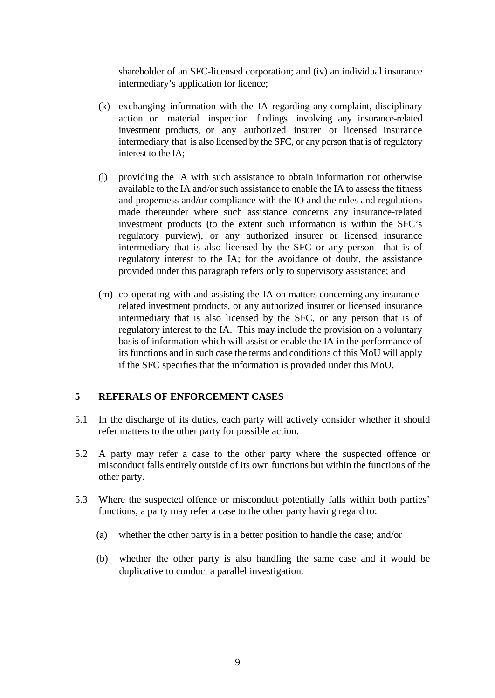shareholder of an SFC-licensed corporation; and (iv) an individual insurance intermediary's application for licence;

- (k) exchanging information with the IA regarding any complaint, disciplinary action or material inspection findings involving any insurance-related investment products, or any authorized insurer or licensed insurance intermediary that is also licensed by the SFC, or any person that is of regulatory interest to the IA;
- (l) providing the IA with such assistance to obtain information not otherwise available to the IA and/or such assistance to enable the IA to assess the fitness and properness and/or compliance with the IO and the rules and regulations made thereunder where such assistance concerns any insurance-related investment products (to the extent such information is within the SFC's regulatory purview), or any authorized insurer or licensed insurance intermediary that is also licensed by the SFC or any person that is of regulatory interest to the IA; for the avoidance of doubt, the assistance provided under this paragraph refers only to supervisory assistance; and
- (m) co-operating with and assisting the IA on matters concerning any insurancerelated investment products, or any authorized insurer or licensed insurance intermediary that is also licensed by the SFC, or any person that is of regulatory interest to the IA. This may include the provision on a voluntary basis of information which will assist or enable the IA in the performance of its functions and in such case the terms and conditions of this MoU will apply if the SFC specifies that the information is provided under this MoU.

#### **5 REFERALS OF ENFORCEMENT CASES**

- 5.1 In the discharge of its duties, each party will actively consider whether it should refer matters to the other party for possible action.
- 5.2 A party may refer a case to the other party where the suspected offence or misconduct falls entirely outside of its own functions but within the functions of the other party.
- 5.3 Where the suspected offence or misconduct potentially falls within both parties' functions, a party may refer a case to the other party having regard to:
	- (a) whether the other party is in a better position to handle the case; and/or
	- (b) whether the other party is also handling the same case and it would be duplicative to conduct a parallel investigation.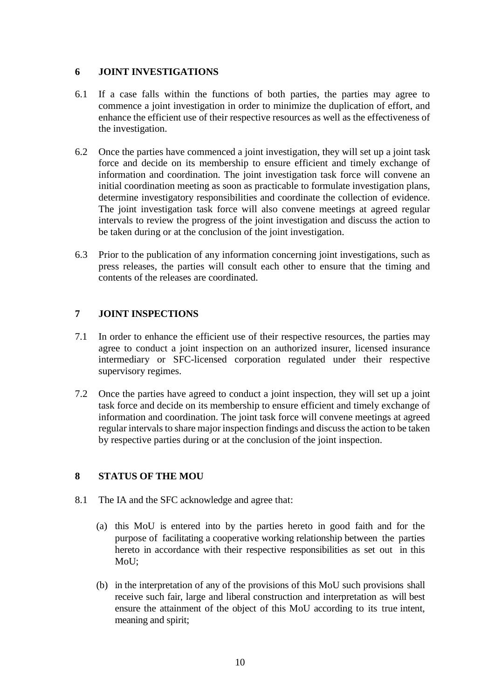## **6 JOINT INVESTIGATIONS**

- 6.1 If a case falls within the functions of both parties, the parties may agree to commence a joint investigation in order to minimize the duplication of effort, and enhance the efficient use of their respective resources as well as the effectiveness of the investigation.
- 6.2 Once the parties have commenced a joint investigation, they will set up a joint task force and decide on its membership to ensure efficient and timely exchange of information and coordination. The joint investigation task force will convene an initial coordination meeting as soon as practicable to formulate investigation plans, determine investigatory responsibilities and coordinate the collection of evidence. The joint investigation task force will also convene meetings at agreed regular intervals to review the progress of the joint investigation and discuss the action to be taken during or at the conclusion of the joint investigation.
- 6.3 Prior to the publication of any information concerning joint investigations, such as press releases, the parties will consult each other to ensure that the timing and contents of the releases are coordinated.

## **7 JOINT INSPECTIONS**

- 7.1 In order to enhance the efficient use of their respective resources, the parties may agree to conduct a joint inspection on an authorized insurer, licensed insurance intermediary or SFC-licensed corporation regulated under their respective supervisory regimes.
- 7.2 Once the parties have agreed to conduct a joint inspection, they will set up a joint task force and decide on its membership to ensure efficient and timely exchange of information and coordination. The joint task force will convene meetings at agreed regular intervals to share major inspection findings and discuss the action to be taken by respective parties during or at the conclusion of the joint inspection.

## **8 STATUS OF THE MOU**

- 8.1 The IA and the SFC acknowledge and agree that:
	- (a) this MoU is entered into by the parties hereto in good faith and for the purpose of facilitating a cooperative working relationship between the parties hereto in accordance with their respective responsibilities as set out in this MoU;
	- (b) in the interpretation of any of the provisions of this MoU such provisions shall receive such fair, large and liberal construction and interpretation as will best ensure the attainment of the object of this MoU according to its true intent, meaning and spirit;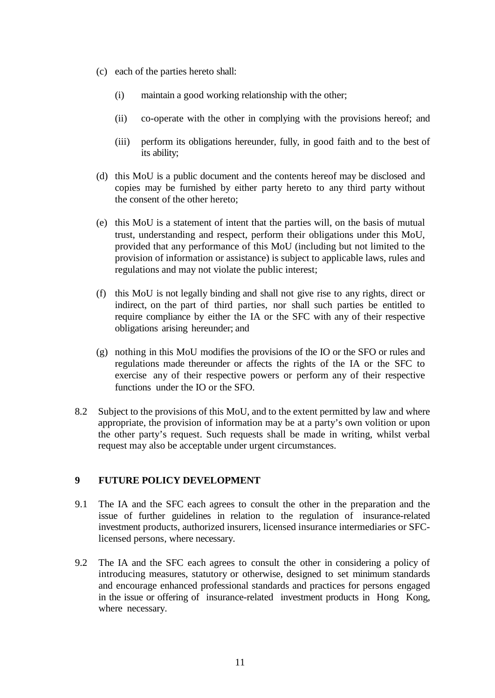- (c) each of the parties hereto shall:
	- (i) maintain a good working relationship with the other;
	- (ii) co-operate with the other in complying with the provisions hereof; and
	- (iii) perform its obligations hereunder, fully, in good faith and to the best of its ability;
- (d) this MoU is a public document and the contents hereof may be disclosed and copies may be furnished by either party hereto to any third party without the consent of the other hereto;
- (e) this MoU is a statement of intent that the parties will, on the basis of mutual trust, understanding and respect, perform their obligations under this MoU, provided that any performance of this MoU (including but not limited to the provision of information or assistance) is subject to applicable laws, rules and regulations and may not violate the public interest;
- (f) this MoU is not legally binding and shall not give rise to any rights, direct or indirect, on the part of third parties, nor shall such parties be entitled to require compliance by either the IA or the SFC with any of their respective obligations arising hereunder; and
- (g) nothing in this MoU modifies the provisions of the IO or the SFO or rules and regulations made thereunder or affects the rights of the IA or the SFC to exercise any of their respective powers or perform any of their respective functions under the IO or the SFO.
- 8.2 Subject to the provisions of this MoU, and to the extent permitted by law and where appropriate, the provision of information may be at a party's own volition or upon the other party's request. Such requests shall be made in writing, whilst verbal request may also be acceptable under urgent circumstances.

### **9 FUTURE POLICY DEVELOPMENT**

- 9.1 The IA and the SFC each agrees to consult the other in the preparation and the issue of further guidelines in relation to the regulation of insurance-related investment products, authorized insurers, licensed insurance intermediaries or SFClicensed persons, where necessary.
- 9.2 The IA and the SFC each agrees to consult the other in considering a policy of introducing measures, statutory or otherwise, designed to set minimum standards and encourage enhanced professional standards and practices for persons engaged in the issue or offering of insurance-related investment products in Hong Kong, where necessary.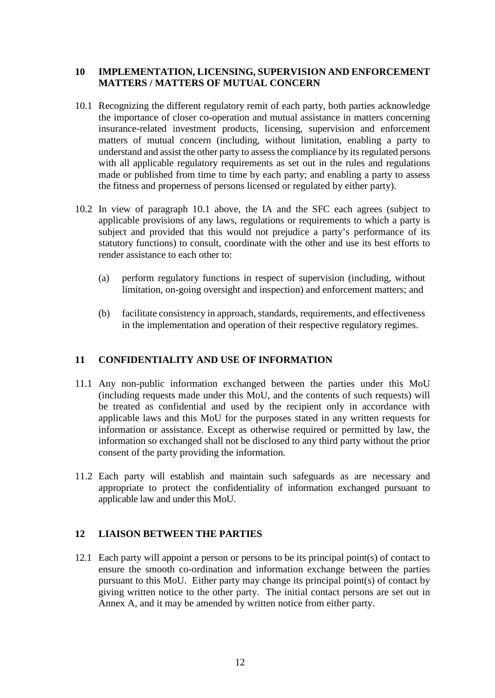## **10 IMPLEMENTATION, LICENSING, SUPERVISION AND ENFORCEMENT MATTERS / MATTERS OF MUTUAL CONCERN**

- 10.1 Recognizing the different regulatory remit of each party, both parties acknowledge the importance of closer co-operation and mutual assistance in matters concerning insurance-related investment products, licensing, supervision and enforcement matters of mutual concern (including, without limitation, enabling a party to understand and assist the other party to assess the compliance by its regulated persons with all applicable regulatory requirements as set out in the rules and regulations made or published from time to time by each party; and enabling a party to assess the fitness and properness of persons licensed or regulated by either party).
- 10.2 In view of paragraph 10.1 above, the IA and the SFC each agrees (subject to applicable provisions of any laws, regulations or requirements to which a party is subject and provided that this would not prejudice a party's performance of its statutory functions) to consult, coordinate with the other and use its best efforts to render assistance to each other to:
	- (a) perform regulatory functions in respect of supervision (including, without limitation, on-going oversight and inspection) and enforcement matters; and
	- (b) facilitate consistency in approach, standards, requirements, and effectiveness in the implementation and operation of their respective regulatory regimes.

#### **11 CONFIDENTIALITY AND USE OF INFORMATION**

- 11.1 Any non-public information exchanged between the parties under this MoU (including requests made under this MoU, and the contents of such requests) will be treated as confidential and used by the recipient only in accordance with applicable laws and this MoU for the purposes stated in any written requests for information or assistance. Except as otherwise required or permitted by law, the information so exchanged shall not be disclosed to any third party without the prior consent of the party providing the information.
- 11.2 Each party will establish and maintain such safeguards as are necessary and appropriate to protect the confidentiality of information exchanged pursuant to applicable law and under this MoU.

#### **12 LIAISON BETWEEN THE PARTIES**

12.1 Each party will appoint a person or persons to be its principal point(s) of contact to ensure the smooth co-ordination and information exchange between the parties pursuant to this MoU. Either party may change its principal point(s) of contact by giving written notice to the other party. The initial contact persons are set out in Annex A, and it may be amended by written notice from either party.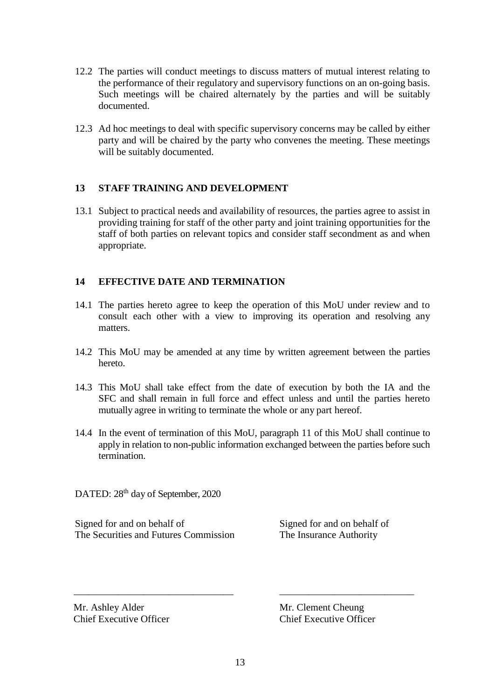- 12.2 The parties will conduct meetings to discuss matters of mutual interest relating to the performance of their regulatory and supervisory functions on an on-going basis. Such meetings will be chaired alternately by the parties and will be suitably documented.
- 12.3 Ad hoc meetings to deal with specific supervisory concerns may be called by either party and will be chaired by the party who convenes the meeting. These meetings will be suitably documented.

## **13 STAFF TRAINING AND DEVELOPMENT**

13.1 Subject to practical needs and availability of resources, the parties agree to assist in providing training for staff of the other party and joint training opportunities for the staff of both parties on relevant topics and consider staff secondment as and when appropriate.

## **14 EFFECTIVE DATE AND TERMINATION**

- 14.1 The parties hereto agree to keep the operation of this MoU under review and to consult each other with a view to improving its operation and resolving any matters.
- 14.2 This MoU may be amended at any time by written agreement between the parties hereto.
- 14.3 This MoU shall take effect from the date of execution by both the IA and the SFC and shall remain in full force and effect unless and until the parties hereto mutually agree in writing to terminate the whole or any part hereof.
- 14.4 In the event of termination of this MoU, paragraph 11 of this MoU shall continue to apply in relation to non-public information exchanged between the parties before such termination.

DATED:  $28<sup>th</sup>$  day of September, 2020

Signed for and on behalf of Signed for and on behalf of The Securities and Futures Commission The Insurance Authority

Mr. Ashley Alder Mr. Clement Cheung

Chief Executive Officer Chief Executive Officer

\_\_\_\_\_\_\_\_\_\_\_\_\_\_\_\_\_\_\_\_\_\_\_\_\_\_\_\_\_\_\_\_ \_\_\_\_\_\_\_\_\_\_\_\_\_\_\_\_\_\_\_\_\_\_\_\_\_\_\_